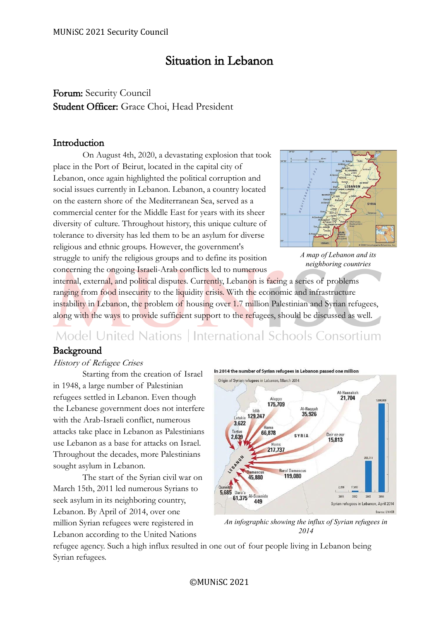## Situation in Lebanon

Forum: Security Council Student Officer: Grace Choi, Head President

## Introduction

On August 4th, 2020, a devastating explosion that took place in the Port of Beirut, located in the capital city of Lebanon, once again highlighted the political corruption and social issues currently in Lebanon. Lebanon, a country located on the eastern shore of the Mediterranean Sea, served as a commercial center for the Middle East for years with its sheer diversity of culture. Throughout history, this unique culture of tolerance to diversity has led them to be an asylum for diverse religious and ethnic groups. However, the government's struggle to unify the religious groups and to define its position concerning the ongoing Israeli-Arab conflicts led to numerous



*A map of Lebanon and its neighboring countries*

internal, external, and political disputes. Currently, Lebanon is facing a series of problems ranging from food insecurity to the liquidity crisis. With the economic and infrastructure instability in Lebanon, the problem of housing over 1.7 million Palestinian and Syrian refugees, along with the ways to provide sufficient support to the refugees, should be discussed as well.

# Model United Nations | International Schools Consortium

## Background

## History of Refugee Crises

Starting from the creation of Israel in 1948, a large number of Palestinian refugees settled in Lebanon. Even though the Lebanese government does not interfere with the Arab-Israeli conflict, numerous attacks take place in Lebanon as Palestinians use Lebanon as a base for attacks on Israel. Throughout the decades, more Palestinians sought asylum in Lebanon.

The start of the Syrian civil war on March 15th, 2011 led numerous Syrians to seek asylum in its neighboring country, Lebanon. By April of 2014, over one million Syrian refugees were registered in Lebanon according to the United Nations

In 2014 the number of Syrian refugees in Lebanon passed one million



*An infographic showing the influx of Syrian refugees in 2014*

refugee agency. Such a high influx resulted in one out of four people living in Lebanon being Syrian refugees.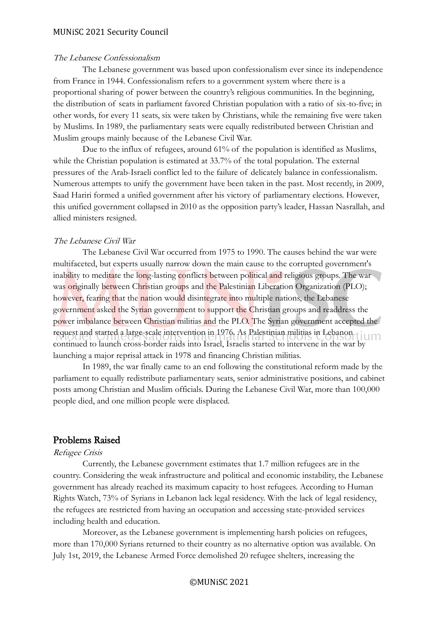#### The Lebanese Confessionalism

The Lebanese government was based upon confessionalism ever since its independence from France in 1944. Confessionalism refers to a government system where there is a proportional sharing of power between the country's religious communities. In the beginning, the distribution of seats in parliament favored Christian population with a ratio of six-to-five; in other words, for every 11 seats, six were taken by Christians, while the remaining five were taken by Muslims. In 1989, the parliamentary seats were equally redistributed between Christian and Muslim groups mainly because of the Lebanese Civil War.

Due to the influx of refugees, around 61% of the population is identified as Muslims, while the Christian population is estimated at 33.7% of the total population. The external pressures of the Arab-Israeli conflict led to the failure of delicately balance in confessionalism. Numerous attempts to unify the government have been taken in the past. Most recently, in 2009, Saad Hariri formed a unified government after his victory of parliamentary elections. However, this unified government collapsed in 2010 as the opposition party's leader, Hassan Nasrallah, and allied ministers resigned.

#### The Lebanese Civil War

The Lebanese Civil War occurred from 1975 to 1990. The causes behind the war were multifaceted, but experts usually narrow down the main cause to the corrupted government's inability to meditate the long-lasting conflicts between political and religious groups. The war was originally between Christian groups and the Palestinian Liberation Organization (PLO); however, fearing that the nation would disintegrate into multiple nations, the Lebanese government asked the Syrian government to support the Christian groups and readdress the power imbalance between Christian militias and the PLO. The Syrian government accepted the request and started a large-scale intervention in 1976. As Palestinian militias in Lebanon continued to launch cross-border raids into Israel, Israelis started to intervene in the war by launching a major reprisal attack in 1978 and financing Christian militias.

In 1989, the war finally came to an end following the constitutional reform made by the parliament to equally redistribute parliamentary seats, senior administrative positions, and cabinet posts among Christian and Muslim officials. During the Lebanese Civil War, more than 100,000 people died, and one million people were displaced.

#### Problems Raised

#### Refugee Crisis

Currently, the Lebanese government estimates that 1.7 million refugees are in the country. Considering the weak infrastructure and political and economic instability, the Lebanese government has already reached its maximum capacity to host refugees. According to Human Rights Watch, 73% of Syrians in Lebanon lack legal residency. With the lack of legal residency, the refugees are restricted from having an occupation and accessing state-provided services including health and education.

Moreover, as the Lebanese government is implementing harsh policies on refugees, more than 170,000 Syrians returned to their country as no alternative option was available. On July 1st, 2019, the Lebanese Armed Force demolished 20 refugee shelters, increasing the

#### ©MUNiSC 2021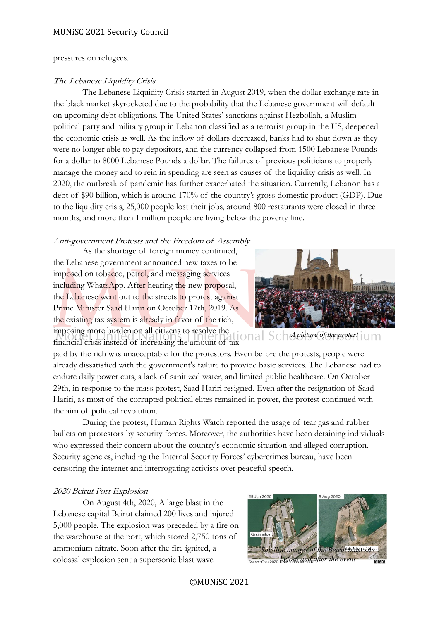#### pressures on refugees.

#### The Lebanese Liquidity Crisis

The Lebanese Liquidity Crisis started in August 2019, when the dollar exchange rate in the black market skyrocketed due to the probability that the Lebanese government will default on upcoming debt obligations. The United States' sanctions against Hezbollah, a Muslim political party and military group in Lebanon classified as a terrorist group in the US, deepened the economic crisis as well. As the inflow of dollars decreased, banks had to shut down as they were no longer able to pay depositors, and the currency collapsed from 1500 Lebanese Pounds for a dollar to 8000 Lebanese Pounds a dollar. The failures of previous politicians to properly manage the money and to rein in spending are seen as causes of the liquidity crisis as well. In 2020, the outbreak of pandemic has further exacerbated the situation. Currently, Lebanon has a debt of \$90 billion, which is around 170% of the country's gross domestic product (GDP). Due to the liquidity crisis, 25,000 people lost their jobs, around 800 restaurants were closed in three months, and more than 1 million people are living below the poverty line.

#### Anti-government Protests and the Freedom of Assembly

As the shortage of foreign money continued, the Lebanese government announced new taxes to be imposed on tobacco, petrol, and messaging services including WhatsApp. After hearing the new proposal, the Lebanese went out to the streets to protest against Prime Minister Saad Hariri on October 17th, 2019. As the existing tax system is already in favor of the rich, imposing more burden on all citizens to resolve the *A picture of the protest*

financial crisis instead of increasing the amount of tax paid by the rich was unacceptable for the protestors. Even before the protests, people were already dissatisfied with the government's failure to provide basic services. The Lebanese had to endure daily power cuts, a lack of sanitized water, and limited public healthcare. On October 29th, in response to the mass protest, Saad Hariri resigned. Even after the resignation of Saad Hariri, as most of the corrupted political elites remained in power, the protest continued with the aim of political revolution.

During the protest, Human Rights Watch reported the usage of tear gas and rubber bullets on protestors by security forces. Moreover, the authorities have been detaining individuals who expressed their concern about the country's economic situation and alleged corruption. Security agencies, including the Internal Security Forces' cybercrimes bureau, have been censoring the internet and interrogating activists over peaceful speech.

#### 2020 Beirut Port Explosion

On August 4th, 2020, A large blast in the Lebanese capital Beirut claimed 200 lives and injured 5,000 people. The explosion was preceded by a fire on the warehouse at the port, which stored 2,750 tons of ammonium nitrate. Soon after the fire ignited, a colossal explosion sent a supersonic blast wave



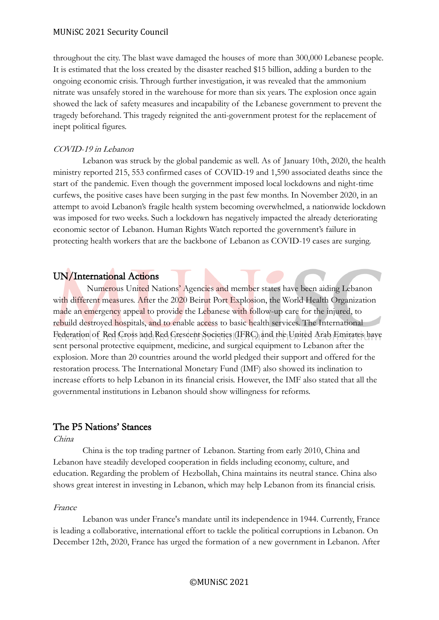throughout the city. The blast wave damaged the houses of more than 300,000 Lebanese people. It is estimated that the loss created by the disaster reached \$15 billion, adding a burden to the ongoing economic crisis. Through further investigation, it was revealed that the ammonium nitrate was unsafely stored in the warehouse for more than six years. The explosion once again showed the lack of safety measures and incapability of the Lebanese government to prevent the tragedy beforehand. This tragedy reignited the anti-government protest for the replacement of inept political figures.

#### COVID-19 in Lebanon

Lebanon was struck by the global pandemic as well. As of January 10th, 2020, the health ministry reported 215, 553 confirmed cases of COVID-19 and 1,590 associated deaths since the start of the pandemic. Even though the government imposed local lockdowns and night-time curfews, the positive cases have been surging in the past few months. In November 2020, in an attempt to avoid Lebanon's fragile health system becoming overwhelmed, a nationwide lockdown was imposed for two weeks. Such a lockdown has negatively impacted the already deteriorating economic sector of Lebanon. Human Rights Watch reported the government's failure in protecting health workers that are the backbone of Lebanon as COVID-19 cases are surging.

## UN/International Actions

Numerous United Nations' Agencies and member states have been aiding Lebanon with different measures. After the 2020 Beirut Port Explosion, the World Health Organization made an emergency appeal to provide the Lebanese with follow-up care for the injured, to rebuild destroyed hospitals, and to enable access to basic health services. The International Federation of Red Cross and Red Crescent Societies (IFRC) and the United Arab Emirates have sent personal protective equipment, medicine, and surgical equipment to Lebanon after the explosion. More than 20 countries around the world pledged their support and offered for the restoration process. The International Monetary Fund (IMF) also showed its inclination to increase efforts to help Lebanon in its financial crisis. However, the IMF also stated that all the governmental institutions in Lebanon should show willingness for reforms.

## The P5 Nations' Stances

#### China

China is the top trading partner of Lebanon. Starting from early 2010, China and Lebanon have steadily developed cooperation in fields including economy, culture, and education. Regarding the problem of Hezbollah, China maintains its neutral stance. China also shows great interest in investing in Lebanon, which may help Lebanon from its financial crisis.

#### France

Lebanon was under France's mandate until its independence in 1944. Currently, France is leading a collaborative, international effort to tackle the political corruptions in Lebanon. On December 12th, 2020, France has urged the formation of a new government in Lebanon. After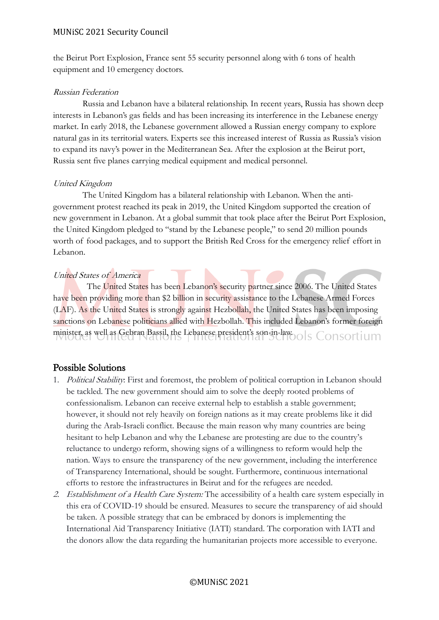the Beirut Port Explosion, France sent 55 security personnel along with 6 tons of health equipment and 10 emergency doctors.

#### Russian Federation

Russia and Lebanon have a bilateral relationship. In recent years, Russia has shown deep interests in Lebanon's gas fields and has been increasing its interference in the Lebanese energy market. In early 2018, the Lebanese government allowed a Russian energy company to explore natural gas in its territorial waters. Experts see this increased interest of Russia as Russia's vision to expand its navy's power in the Mediterranean Sea. After the explosion at the Beirut port, Russia sent five planes carrying medical equipment and medical personnel.

#### United Kingdom

The United Kingdom has a bilateral relationship with Lebanon. When the antigovernment protest reached its peak in 2019, the United Kingdom supported the creation of new government in Lebanon. At a global summit that took place after the Beirut Port Explosion, the United Kingdom pledged to "stand by the Lebanese people," to send 20 million pounds worth of food packages, and to support the British Red Cross for the emergency relief effort in Lebanon.

## United States of America

The United States has been Lebanon's security partner since 2006. The United States have been providing more than \$2 billion in security assistance to the Lebanese Armed Forces (LAF). As the United States is strongly against Hezbollah, the United States has been imposing sanctions on Lebanese politicians allied with Hezbollah. This included Lebanon's former foreign minister, as well as Gebran Bassil, the Lebanese president's son-in-law. ols Consortium

## Possible Solutions

- 1. Political Stability: First and foremost, the problem of political corruption in Lebanon should be tackled. The new government should aim to solve the deeply rooted problems of confessionalism. Lebanon can receive external help to establish a stable government; however, it should not rely heavily on foreign nations as it may create problems like it did during the Arab-Israeli conflict. Because the main reason why many countries are being hesitant to help Lebanon and why the Lebanese are protesting are due to the country's reluctance to undergo reform, showing signs of a willingness to reform would help the nation. Ways to ensure the transparency of the new government, including the interference of Transparency International, should be sought. Furthermore, continuous international efforts to restore the infrastructures in Beirut and for the refugees are needed.
- 2. Establishment of a Health Care System: The accessibility of a health care system especially in this era of COVID-19 should be ensured. Measures to secure the transparency of aid should be taken. A possible strategy that can be embraced by donors is implementing the International Aid Transparency Initiative (IATI) standard. The corporation with IATI and the donors allow the data regarding the humanitarian projects more accessible to everyone.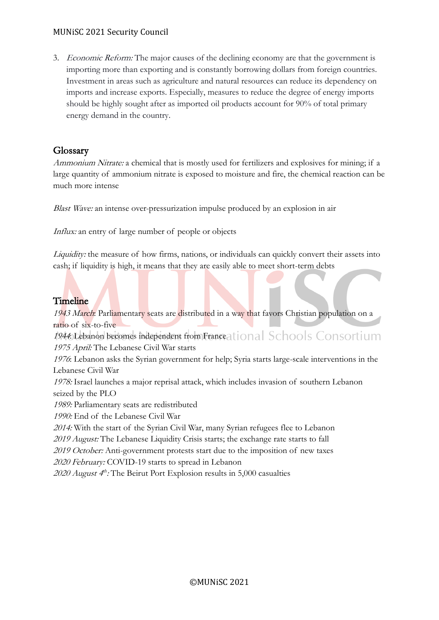3. *Economic Reform:* The major causes of the declining economy are that the government is importing more than exporting and is constantly borrowing dollars from foreign countries. Investment in areas such as agriculture and natural resources can reduce its dependency on imports and increase exports. Especially, measures to reduce the degree of energy imports should be highly sought after as imported oil products account for 90% of total primary energy demand in the country.

## Glossary

Ammonium Nitrate: a chemical that is mostly used for fertilizers and explosives for mining; if a large quantity of ammonium nitrate is exposed to moisture and fire, the chemical reaction can be much more intense

Blast Wave: an intense over-pressurization impulse produced by an explosion in air

Influx: an entry of large number of people or objects

Liquidity: the measure of how firms, nations, or individuals can quickly convert their assets into cash; if liquidity is high, it means that they are easily able to meet short-term debts

## Timeline

1943 March: Parliamentary seats are distributed in a way that favors Christian population on a ratio of six-to-five

1944: Lebanon becomes independent from France ational Schools Consortium 1975 April: The Lebanese Civil War starts

<sup>1976</sup>: Lebanon asks the Syrian government for help; Syria starts large-scale interventions in the Lebanese Civil War

1978: Israel launches a major reprisal attack, which includes invasion of southern Lebanon seized by the PLO

1989: Parliamentary seats are redistributed

1990: End of the Lebanese Civil War

2014: With the start of the Syrian Civil War, many Syrian refugees flee to Lebanon

2019 August: The Lebanese Liquidity Crisis starts; the exchange rate starts to fall

2019 October: Anti-government protests start due to the imposition of new taxes

2020 February: COVID-19 starts to spread in Lebanon

2020 August  $4^h$ : The Beirut Port Explosion results in 5,000 casualties